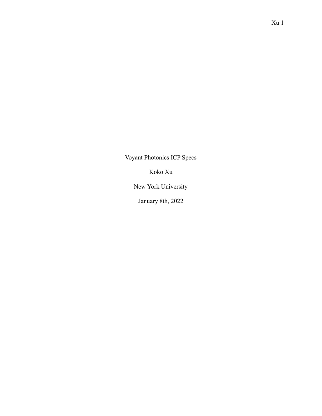Voyant Photonics ICP Specs

Koko Xu

New York University

January 8th, 2022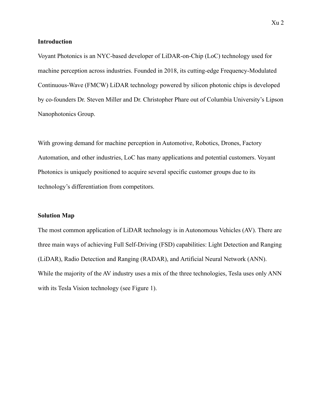#### **Introduction**

Voyant Photonics is an NYC-based developer of LiDAR-on-Chip (LoC) technology used for machine perception across industries. Founded in 2018, its cutting-edge Frequency-Modulated Continuous-Wave (FMCW) LiDAR technology powered by silicon photonic chips is developed by co-founders Dr. Steven Miller and Dr. Christopher Phare out of Columbia University's Lipson Nanophotonics Group.

With growing demand for machine perception in Automotive, Robotics, Drones, Factory Automation, and other industries, LoC has many applications and potential customers. Voyant Photonics is uniquely positioned to acquire several specific customer groups due to its technology's differentiation from competitors.

#### **Solution Map**

The most common application of LiDAR technology is in Autonomous Vehicles (AV). There are three main ways of achieving Full Self-Driving (FSD) capabilities: Light Detection and Ranging (LiDAR), Radio Detection and Ranging (RADAR), and Artificial Neural Network (ANN). While the majority of the AV industry uses a mix of the three technologies, Tesla uses only ANN with its Tesla Vision technology (see Figure 1).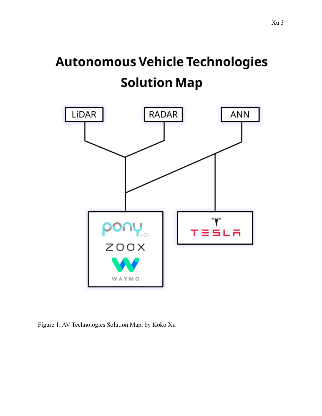# **Autonomous Vehicle Technologies Solution Map**



Figure 1: AV Technologies Solution Map, by Koko Xu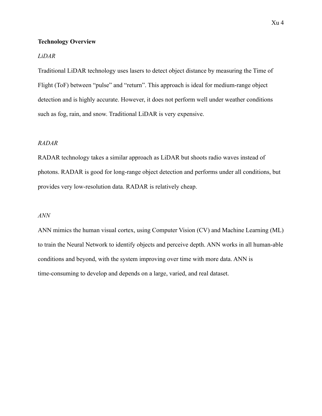## **Technology Overview**

## *LiDAR*

Traditional LiDAR technology uses lasers to detect object distance by measuring the Time of Flight (ToF) between "pulse" and "return". This approach is ideal for medium-range object detection and is highly accurate. However, it does not perform well under weather conditions such as fog, rain, and snow. Traditional LiDAR is very expensive.

# *RADAR*

RADAR technology takes a similar approach as LiDAR but shoots radio waves instead of photons. RADAR is good for long-range object detection and performs under all conditions, but provides very low-resolution data. RADAR is relatively cheap.

#### *ANN*

ANN mimics the human visual cortex, using Computer Vision (CV) and Machine Learning (ML) to train the Neural Network to identify objects and perceive depth. ANN works in all human-able conditions and beyond, with the system improving over time with more data. ANN is time-consuming to develop and depends on a large, varied, and real dataset.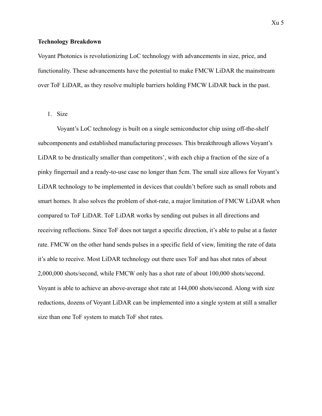#### **Technology Breakdown**

Voyant Photonics is revolutionizing LoC technology with advancements in size, price, and functionality. These advancements have the potential to make FMCW LiDAR the mainstream over ToF LiDAR, as they resolve multiple barriers holding FMCW LiDAR back in the past.

1. Size

Voyant's LoC technology is built on a single semiconductor chip using off-the-shelf subcomponents and established manufacturing processes. This breakthrough allows Voyant's LiDAR to be drastically smaller than competitors', with each chip a fraction of the size of a pinky fingernail and a ready-to-use case no longer than 5cm. The small size allows for Voyant's LiDAR technology to be implemented in devices that couldn't before such as small robots and smart homes. It also solves the problem of shot-rate, a major limitation of FMCW LiDAR when compared to ToF LiDAR. ToF LiDAR works by sending out pulses in all directions and receiving reflections. Since ToF does not target a specific direction, it's able to pulse at a faster rate. FMCW on the other hand sends pulses in a specific field of view, limiting the rate of data it's able to receive. Most LiDAR technology out there uses ToF and has shot rates of about 2,000,000 shots/second, while FMCW only has a shot rate of about 100,000 shots/second. Voyant is able to achieve an above-average shot rate at 144,000 shots/second. Along with size reductions, dozens of Voyant LiDAR can be implemented into a single system at still a smaller size than one ToF system to match ToF shot rates.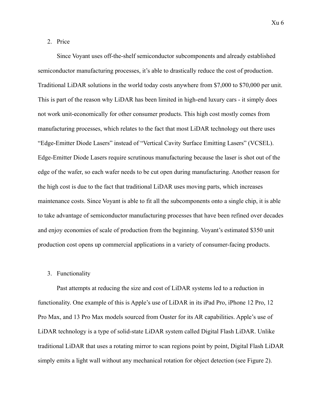Since Voyant uses off-the-shelf semiconductor subcomponents and already established semiconductor manufacturing processes, it's able to drastically reduce the cost of production. Traditional LiDAR solutions in the world today costs anywhere from \$7,000 to \$70,000 per unit. This is part of the reason why LiDAR has been limited in high-end luxury cars - it simply does not work unit-economically for other consumer products. This high cost mostly comes from manufacturing processes, which relates to the fact that most LiDAR technology out there uses "Edge-Emitter Diode Lasers" instead of "Vertical Cavity Surface Emitting Lasers" (VCSEL). Edge-Emitter Diode Lasers require scrutinous manufacturing because the laser is shot out of the edge of the wafer, so each wafer needs to be cut open during manufacturing. Another reason for the high cost is due to the fact that traditional LiDAR uses moving parts, which increases maintenance costs. Since Voyant is able to fit all the subcomponents onto a single chip, it is able to take advantage of semiconductor manufacturing processes that have been refined over decades and enjoy economies of scale of production from the beginning. Voyant's estimated \$350 unit production cost opens up commercial applications in a variety of consumer-facing products.

#### 3. Functionality

Past attempts at reducing the size and cost of LiDAR systems led to a reduction in functionality. One example of this is Apple's use of LiDAR in its iPad Pro, iPhone 12 Pro, 12 Pro Max, and 13 Pro Max models sourced from Ouster for its AR capabilities. Apple's use of LiDAR technology is a type of solid-state LiDAR system called Digital Flash LiDAR. Unlike traditional LiDAR that uses a rotating mirror to scan regions point by point, Digital Flash LiDAR simply emits a light wall without any mechanical rotation for object detection (see Figure 2).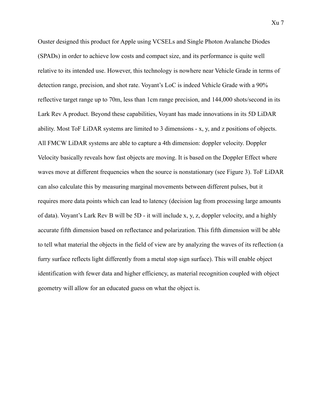Ouster designed this product for Apple using VCSELs and Single Photon Avalanche Diodes (SPADs) in order to achieve low costs and compact size, and its performance is quite well relative to its intended use. However, this technology is nowhere near Vehicle Grade in terms of detection range, precision, and shot rate. Voyant's LoC is indeed Vehicle Grade with a 90% reflective target range up to 70m, less than 1cm range precision, and 144,000 shots/second in its Lark Rev A product. Beyond these capabilities, Voyant has made innovations in its 5D LiDAR ability. Most ToF LiDAR systems are limited to 3 dimensions - x, y, and z positions of objects. All FMCW LiDAR systems are able to capture a 4th dimension: doppler velocity. Doppler Velocity basically reveals how fast objects are moving. It is based on the Doppler Effect where waves move at different frequencies when the source is nonstationary (see Figure 3). ToF LiDAR can also calculate this by measuring marginal movements between different pulses, but it requires more data points which can lead to latency (decision lag from processing large amounts of data). Voyant's Lark Rev B will be 5D - it will include x, y, z, doppler velocity, and a highly accurate fifth dimension based on reflectance and polarization. This fifth dimension will be able to tell what material the objects in the field of view are by analyzing the waves of its reflection (a furry surface reflects light differently from a metal stop sign surface). This will enable object identification with fewer data and higher efficiency, as material recognition coupled with object geometry will allow for an educated guess on what the object is.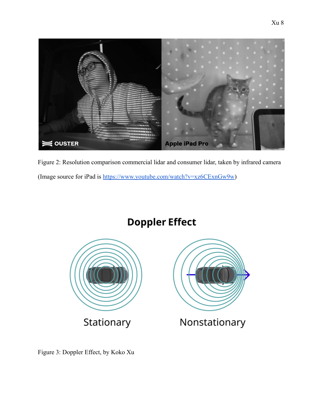

Figure 2: Resolution comparison commercial lidar and consumer lidar, taken by infrared camera (Image source for iPad is <https://www.youtube.com/watch?v=xz6CExnGw9w>)

# **Doppler Effect**



Figure 3: Doppler Effect, by Koko Xu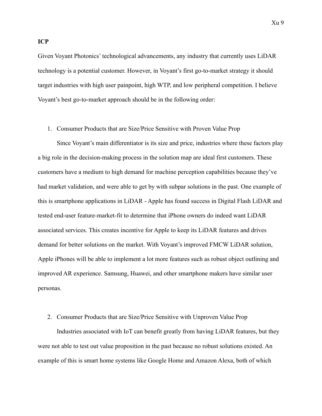Given Voyant Photonics' technological advancements, any industry that currently uses LiDAR technology is a potential customer. However, in Voyant's first go-to-market strategy it should target industries with high user painpoint, high WTP, and low peripheral competition. I believe Voyant's best go-to-market approach should be in the following order:

#### 1. Consumer Products that are Size/Price Sensitive with Proven Value Prop

Since Voyant's main differentiator is its size and price, industries where these factors play a big role in the decision-making process in the solution map are ideal first customers. These customers have a medium to high demand for machine perception capabilities because they've had market validation, and were able to get by with subpar solutions in the past. One example of this is smartphone applications in LiDAR - Apple has found success in Digital Flash LiDAR and tested end-user feature-market-fit to determine that iPhone owners do indeed want LiDAR associated services. This creates incentive for Apple to keep its LiDAR features and drives demand for better solutions on the market. With Voyant's improved FMCW LiDAR solution, Apple iPhones will be able to implement a lot more features such as robust object outlining and improved AR experience. Samsung, Huawei, and other smartphone makers have similar user personas.

#### 2. Consumer Products that are Size/Price Sensitive with Unproven Value Prop

Industries associated with IoT can benefit greatly from having LiDAR features, but they were not able to test out value proposition in the past because no robust solutions existed. An example of this is smart home systems like Google Home and Amazon Alexa, both of which

**ICP**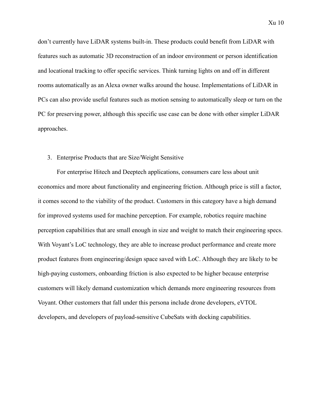don't currently have LiDAR systems built-in. These products could benefit from LiDAR with features such as automatic 3D reconstruction of an indoor environment or person identification and locational tracking to offer specific services. Think turning lights on and off in different rooms automatically as an Alexa owner walks around the house. Implementations of LiDAR in PCs can also provide useful features such as motion sensing to automatically sleep or turn on the PC for preserving power, although this specific use case can be done with other simpler LiDAR approaches.

#### 3. Enterprise Products that are Size/Weight Sensitive

For enterprise Hitech and Deeptech applications, consumers care less about unit economics and more about functionality and engineering friction. Although price is still a factor, it comes second to the viability of the product. Customers in this category have a high demand for improved systems used for machine perception. For example, robotics require machine perception capabilities that are small enough in size and weight to match their engineering specs. With Voyant's LoC technology, they are able to increase product performance and create more product features from engineering/design space saved with LoC. Although they are likely to be high-paying customers, onboarding friction is also expected to be higher because enterprise customers will likely demand customization which demands more engineering resources from Voyant. Other customers that fall under this persona include drone developers, eVTOL developers, and developers of payload-sensitive CubeSats with docking capabilities.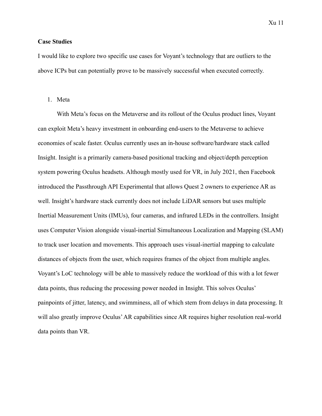#### **Case Studies**

I would like to explore two specific use cases for Voyant's technology that are outliers to the above ICPs but can potentially prove to be massively successful when executed correctly.

#### 1. Meta

With Meta's focus on the Metaverse and its rollout of the Oculus product lines, Voyant can exploit Meta's heavy investment in onboarding end-users to the Metaverse to achieve economies of scale faster. Oculus currently uses an in-house software/hardware stack called Insight. Insight is a primarily camera-based positional tracking and object/depth perception system powering Oculus headsets. Although mostly used for VR, in July 2021, then Facebook introduced the Passthrough API Experimental that allows Quest 2 owners to experience AR as well. Insight's hardware stack currently does not include LiDAR sensors but uses multiple Inertial Measurement Units (IMUs), four cameras, and infrared LEDs in the controllers. Insight uses Computer Vision alongside visual-inertial Simultaneous Localization and Mapping (SLAM) to track user location and movements. This approach uses visual-inertial mapping to calculate distances of objects from the user, which requires frames of the object from multiple angles. Voyant's LoC technology will be able to massively reduce the workload of this with a lot fewer data points, thus reducing the processing power needed in Insight. This solves Oculus' painpoints of jitter, latency, and swimminess, all of which stem from delays in data processing. It will also greatly improve Oculus' AR capabilities since AR requires higher resolution real-world data points than VR.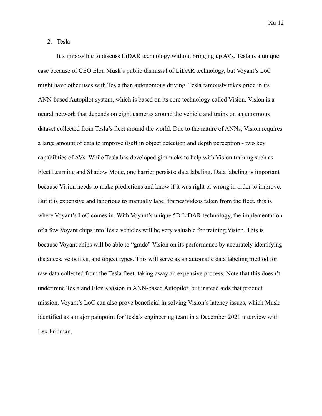2. Tesla

It's impossible to discuss LiDAR technology without bringing up AVs. Tesla is a unique case because of CEO Elon Musk's public dismissal of LiDAR technology, but Voyant's LoC might have other uses with Tesla than autonomous driving. Tesla famously takes pride in its ANN-based Autopilot system, which is based on its core technology called Vision. Vision is a neural network that depends on eight cameras around the vehicle and trains on an enormous dataset collected from Tesla's fleet around the world. Due to the nature of ANNs, Vision requires a large amount of data to improve itself in object detection and depth perception - two key capabilities of AVs. While Tesla has developed gimmicks to help with Vision training such as Fleet Learning and Shadow Mode, one barrier persists: data labeling. Data labeling is important because Vision needs to make predictions and know if it was right or wrong in order to improve. But it is expensive and laborious to manually label frames/videos taken from the fleet, this is where Voyant's LoC comes in. With Voyant's unique 5D LiDAR technology, the implementation of a few Voyant chips into Tesla vehicles will be very valuable for training Vision. This is because Voyant chips will be able to "grade" Vision on its performance by accurately identifying distances, velocities, and object types. This will serve as an automatic data labeling method for raw data collected from the Tesla fleet, taking away an expensive process. Note that this doesn't undermine Tesla and Elon's vision in ANN-based Autopilot, but instead aids that product mission. Voyant's LoC can also prove beneficial in solving Vision's latency issues, which Musk identified as a major painpoint for Tesla's engineering team in a December 2021 interview with Lex Fridman.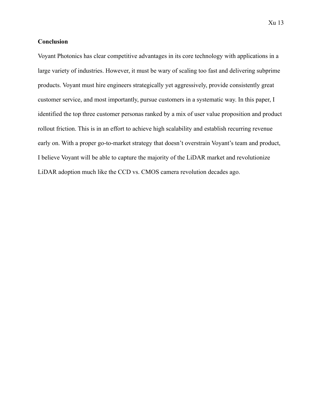Voyant Photonics has clear competitive advantages in its core technology with applications in a large variety of industries. However, it must be wary of scaling too fast and delivering subprime products. Voyant must hire engineers strategically yet aggressively, provide consistently great customer service, and most importantly, pursue customers in a systematic way. In this paper, I identified the top three customer personas ranked by a mix of user value proposition and product rollout friction. This is in an effort to achieve high scalability and establish recurring revenue early on. With a proper go-to-market strategy that doesn't overstrain Voyant's team and product, I believe Voyant will be able to capture the majority of the LiDAR market and revolutionize LiDAR adoption much like the CCD vs. CMOS camera revolution decades ago.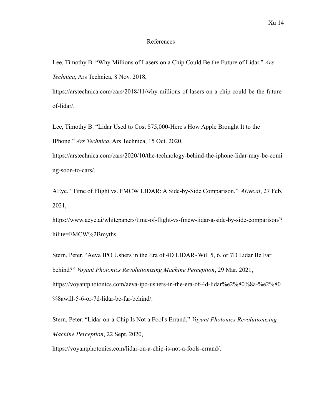#### References

Lee, Timothy B. "Why Millions of Lasers on a Chip Could Be the Future of Lidar." *Ars Technica*, Ars Technica, 8 Nov. 2018,

https://arstechnica.com/cars/2018/11/why-millions-of-lasers-on-a-chip-could-be-the-futureof-lidar/.

Lee, Timothy B. "Lidar Used to Cost \$75,000-Here's How Apple Brought It to the IPhone." *Ars Technica*, Ars Technica, 15 Oct. 2020,

https://arstechnica.com/cars/2020/10/the-technology-behind-the-iphone-lidar-may-be-comi ng-soon-to-cars/.

AEye. "Time of Flight vs. FMCW LIDAR: A Side-by-Side Comparison." *AEye.ai*, 27 Feb. 2021,

https://www.aeye.ai/whitepapers/time-of-flight-vs-fmcw-lidar-a-side-by-side-comparison/? hilite=FMCW%2Bmyths.

Stern, Peter. "Aeva IPO Ushers in the Era of 4D LIDAR-Will 5, 6, or 7D Lidar Be Far behind?" *Voyant Photonics Revolutionizing Machine Perception*, 29 Mar. 2021, https://voyantphotonics.com/aeva-ipo-ushers-in-the-era-of-4d-lidar%e2%80%8a-%e2%80 %8awill-5-6-or-7d-lidar-be-far-behind/.

Stern, Peter. "Lidar-on-a-Chip Is Not a Fool's Errand." *Voyant Photonics Revolutionizing Machine Perception*, 22 Sept. 2020,

https://voyantphotonics.com/lidar-on-a-chip-is-not-a-fools-errand/.